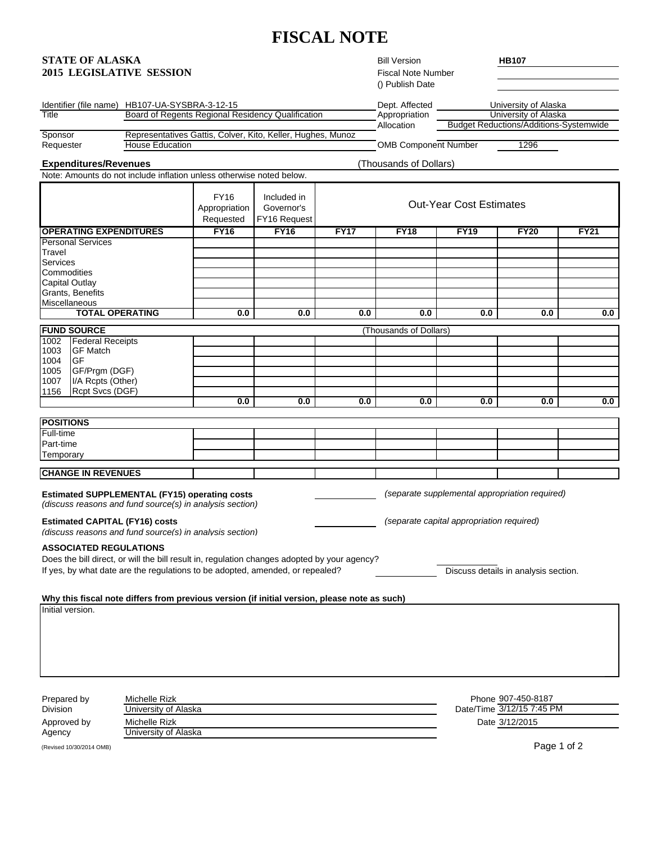## **FISCAL NOTE**

## **STATE OF ALASKA**

| <b>STATE OF ALASKA</b><br><b>2015 LEGISLATIVE SESSION</b>                                                                                                                                                                                                                                                                                                                           |                                                                                                           |                                                                                                                                                                               |                                           |                                           |                                | <b>Bill Version</b><br><b>Fiscal Note Number</b><br>() Publish Date                         |                           | <b>HB107</b>                                  |             |  |
|-------------------------------------------------------------------------------------------------------------------------------------------------------------------------------------------------------------------------------------------------------------------------------------------------------------------------------------------------------------------------------------|-----------------------------------------------------------------------------------------------------------|-------------------------------------------------------------------------------------------------------------------------------------------------------------------------------|-------------------------------------------|-------------------------------------------|--------------------------------|---------------------------------------------------------------------------------------------|---------------------------|-----------------------------------------------|-------------|--|
| Identifier (file name) HB107-UA-SYSBRA-3-12-15                                                                                                                                                                                                                                                                                                                                      |                                                                                                           |                                                                                                                                                                               |                                           |                                           |                                | Dept. Affected                                                                              |                           | University of Alaska                          |             |  |
| Title                                                                                                                                                                                                                                                                                                                                                                               | Board of Regents Regional Residency Qualification                                                         |                                                                                                                                                                               |                                           |                                           |                                | Appropriation                                                                               |                           | University of Alaska                          |             |  |
| Sponsor                                                                                                                                                                                                                                                                                                                                                                             |                                                                                                           | Representatives Gattis, Colver, Kito, Keller, Hughes, Munoz                                                                                                                   |                                           |                                           |                                | Allocation                                                                                  |                           | <b>Budget Reductions/Additions-Systemwide</b> |             |  |
| Requester                                                                                                                                                                                                                                                                                                                                                                           |                                                                                                           | <b>House Education</b>                                                                                                                                                        |                                           |                                           |                                | <b>OMB Component Number</b>                                                                 |                           | 1296                                          |             |  |
|                                                                                                                                                                                                                                                                                                                                                                                     | <b>Expenditures/Revenues</b>                                                                              |                                                                                                                                                                               |                                           |                                           |                                | (Thousands of Dollars)                                                                      |                           |                                               |             |  |
|                                                                                                                                                                                                                                                                                                                                                                                     |                                                                                                           | Note: Amounts do not include inflation unless otherwise noted below.                                                                                                          |                                           |                                           |                                |                                                                                             |                           |                                               |             |  |
|                                                                                                                                                                                                                                                                                                                                                                                     |                                                                                                           |                                                                                                                                                                               | <b>FY16</b><br>Appropriation<br>Requested | Included in<br>Governor's<br>FY16 Request | <b>Out-Year Cost Estimates</b> |                                                                                             |                           |                                               |             |  |
|                                                                                                                                                                                                                                                                                                                                                                                     | <b>OPERATING EXPENDITURES</b>                                                                             |                                                                                                                                                                               | <b>FY16</b>                               | <b>FY16</b>                               | <b>FY17</b>                    | <b>FY18</b>                                                                                 | <b>FY19</b>               | <b>FY20</b>                                   | <b>FY21</b> |  |
| <b>Travel</b><br>Services<br>Commodities<br><b>Capital Outlay</b><br>Miscellaneous                                                                                                                                                                                                                                                                                                  | <b>Personal Services</b><br>Grants, Benefits                                                              |                                                                                                                                                                               |                                           |                                           |                                |                                                                                             |                           |                                               |             |  |
|                                                                                                                                                                                                                                                                                                                                                                                     |                                                                                                           | <b>TOTAL OPERATING</b>                                                                                                                                                        | 0.0                                       | 0.0                                       | 0.0                            | 0.0                                                                                         | 0.0                       | 0.0                                           | 0.0         |  |
|                                                                                                                                                                                                                                                                                                                                                                                     | <b>FUND SOURCE</b>                                                                                        |                                                                                                                                                                               |                                           |                                           |                                | (Thousands of Dollars)                                                                      |                           |                                               |             |  |
| 1002<br>1003<br>1004<br>1005<br>1007<br>1156                                                                                                                                                                                                                                                                                                                                        | <b>Federal Receipts</b><br><b>GF Match</b><br>GF<br>GF/Prgm (DGF)<br>I/A Rcpts (Other)<br>Rcpt Svcs (DGF) |                                                                                                                                                                               | 0.0                                       | 0.0                                       | 0.0                            | 0.0                                                                                         | 0.0                       | 0.0                                           | 0.0         |  |
|                                                                                                                                                                                                                                                                                                                                                                                     |                                                                                                           |                                                                                                                                                                               |                                           |                                           |                                |                                                                                             |                           |                                               |             |  |
| <b>POSITIONS</b>                                                                                                                                                                                                                                                                                                                                                                    |                                                                                                           |                                                                                                                                                                               |                                           |                                           |                                |                                                                                             |                           |                                               |             |  |
| Full-time<br>Part-time                                                                                                                                                                                                                                                                                                                                                              |                                                                                                           |                                                                                                                                                                               |                                           |                                           |                                |                                                                                             |                           |                                               |             |  |
| Temporary                                                                                                                                                                                                                                                                                                                                                                           |                                                                                                           |                                                                                                                                                                               |                                           |                                           |                                |                                                                                             |                           |                                               |             |  |
|                                                                                                                                                                                                                                                                                                                                                                                     |                                                                                                           |                                                                                                                                                                               |                                           |                                           |                                |                                                                                             |                           |                                               |             |  |
| <b>CHANGE IN REVENUES</b><br><b>Estimated SUPPLEMENTAL (FY15) operating costs</b><br>(discuss reasons and fund source(s) in analysis section)<br><b>Estimated CAPITAL (FY16) costs</b><br>(discuss reasons and fund source(s) in analysis section)<br><b>ASSOCIATED REGULATIONS</b><br>Does the bill direct, or will the bill result in, regulation changes adopted by your agency? |                                                                                                           |                                                                                                                                                                               |                                           |                                           |                                | (separate supplemental appropriation required)<br>(separate capital appropriation required) |                           |                                               |             |  |
|                                                                                                                                                                                                                                                                                                                                                                                     |                                                                                                           | If yes, by what date are the regulations to be adopted, amended, or repealed?<br>Why this fiscal note differs from previous version (if initial version, please note as such) |                                           |                                           |                                |                                                                                             |                           | Discuss details in analysis section.          |             |  |
| Initial version.                                                                                                                                                                                                                                                                                                                                                                    |                                                                                                           |                                                                                                                                                                               |                                           |                                           |                                |                                                                                             |                           |                                               |             |  |
|                                                                                                                                                                                                                                                                                                                                                                                     | Prepared by<br>Michelle Rizk                                                                              |                                                                                                                                                                               |                                           |                                           |                                |                                                                                             | Phone 907-450-8187        |                                               |             |  |
| Division                                                                                                                                                                                                                                                                                                                                                                            | University of Alaska                                                                                      |                                                                                                                                                                               |                                           |                                           |                                |                                                                                             | Date/Time 3/12/15 7:45 PM |                                               |             |  |
|                                                                                                                                                                                                                                                                                                                                                                                     | Approved by<br>Michelle Rizk                                                                              |                                                                                                                                                                               |                                           |                                           |                                |                                                                                             |                           | Date 3/12/2015                                |             |  |
| Agency                                                                                                                                                                                                                                                                                                                                                                              |                                                                                                           | University of Alaska                                                                                                                                                          |                                           |                                           |                                |                                                                                             |                           |                                               |             |  |

(Revised 10/30/2014 OMB) Page 1 of 2